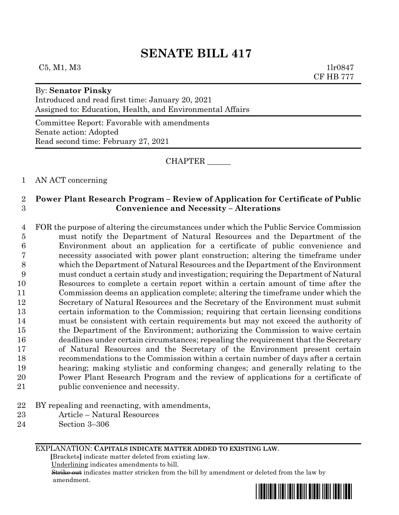# **SENATE BILL 417**

## $C5, M1, M3$  1lr0847

### By: **Senator Pinsky**

Introduced and read first time: January 20, 2021 Assigned to: Education, Health, and Environmental Affairs

Committee Report: Favorable with amendments Senate action: Adopted Read second time: February 27, 2021

CHAPTER \_\_\_\_\_\_

1 AN ACT concerning

# 2 **Power Plant Research Program – Review of Application for Certificate of Public**  3 **Convenience and Necessity – Alterations**

 FOR the purpose of altering the circumstances under which the Public Service Commission must notify the Department of Natural Resources and the Department of the Environment about an application for a certificate of public convenience and necessity associated with power plant construction; altering the timeframe under which the Department of Natural Resources and the Department of the Environment must conduct a certain study and investigation; requiring the Department of Natural Resources to complete a certain report within a certain amount of time after the Commission deems an application complete; altering the timeframe under which the Secretary of Natural Resources and the Secretary of the Environment must submit certain information to the Commission; requiring that certain licensing conditions must be consistent with certain requirements but may not exceed the authority of the Department of the Environment; authorizing the Commission to waive certain deadlines under certain circumstances; repealing the requirement that the Secretary of Natural Resources and the Secretary of the Environment present certain recommendations to the Commission within a certain number of days after a certain hearing; making stylistic and conforming changes; and generally relating to the Power Plant Research Program and the review of applications for a certificate of public convenience and necessity.

- 22 BY repealing and reenacting, with amendments,
- 23 Article Natural Resources
- 24 Section 3–306

EXPLANATION: **CAPITALS INDICATE MATTER ADDED TO EXISTING LAW**.

 **[**Brackets**]** indicate matter deleted from existing law.

Underlining indicates amendments to bill.

 Strike out indicates matter stricken from the bill by amendment or deleted from the law by amendment.

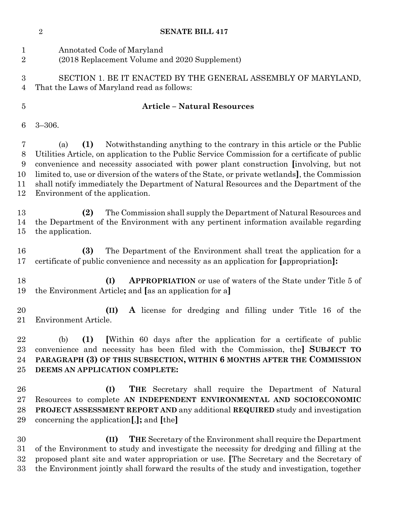|                                    | $\sqrt{2}$<br><b>SENATE BILL 417</b>                                                                                                                                                                                                                                                                                                                                                                                                                                                                           |  |
|------------------------------------|----------------------------------------------------------------------------------------------------------------------------------------------------------------------------------------------------------------------------------------------------------------------------------------------------------------------------------------------------------------------------------------------------------------------------------------------------------------------------------------------------------------|--|
| $\mathbf{1}$<br>$\overline{2}$     | Annotated Code of Maryland<br>(2018 Replacement Volume and 2020 Supplement)                                                                                                                                                                                                                                                                                                                                                                                                                                    |  |
| $\boldsymbol{3}$<br>$\overline{4}$ | SECTION 1. BE IT ENACTED BY THE GENERAL ASSEMBLY OF MARYLAND,<br>That the Laws of Maryland read as follows:                                                                                                                                                                                                                                                                                                                                                                                                    |  |
| $\overline{5}$                     | <b>Article - Natural Resources</b>                                                                                                                                                                                                                                                                                                                                                                                                                                                                             |  |
| 6                                  | $3 - 306.$                                                                                                                                                                                                                                                                                                                                                                                                                                                                                                     |  |
| 7<br>8<br>9<br>10<br>11<br>12      | Notwithstanding anything to the contrary in this article or the Public<br>(1)<br>(a)<br>Utilities Article, on application to the Public Service Commission for a certificate of public<br>convenience and necessity associated with power plant construction [involving, but not<br>limited to, use or diversion of the waters of the State, or private wetlands], the Commission<br>shall notify immediately the Department of Natural Resources and the Department of the<br>Environment of the application. |  |
| 13<br>14<br>$15\,$                 | The Commission shall supply the Department of Natural Resources and<br>(2)<br>the Department of the Environment with any pertinent information available regarding<br>the application.                                                                                                                                                                                                                                                                                                                         |  |
| 16<br>17                           | The Department of the Environment shall treat the application for a<br>(3)<br>certificate of public convenience and necessity as an application for [appropriation]:                                                                                                                                                                                                                                                                                                                                           |  |
| 18<br>19                           | (I)<br><b>APPROPRIATION</b> or use of waters of the State under Title 5 of<br>the Environment Article; and [as an application for a]                                                                                                                                                                                                                                                                                                                                                                           |  |
| 20                                 | A license for dredging and filling under Title 16 of the<br>(II)<br>21 Environment Article.                                                                                                                                                                                                                                                                                                                                                                                                                    |  |
| 22<br>23<br>24<br>25               | (1)<br>Within 60 days after the application for a certificate of public<br>(b)<br>convenience and necessity has been filed with the Commission, the SUBJECT TO<br>PARAGRAPH (3) OF THIS SUBSECTION, WITHIN 6 MONTHS AFTER THE COMMISSION<br>DEEMS AN APPLICATION COMPLETE:                                                                                                                                                                                                                                     |  |
| 26<br>$27\,$<br>28<br>29           | (I)<br><b>THE</b> Secretary shall require the Department of Natural<br>Resources to complete AN INDEPENDENT ENVIRONMENTAL AND SOCIOECONOMIC<br><b>PROJECT ASSESSMENT REPORT AND any additional REQUIRED study and investigation</b><br>concerning the application [,]; and [the]                                                                                                                                                                                                                               |  |
| 30<br>$31\,$<br>32                 | (II)<br><b>THE</b> Secretary of the Environment shall require the Department<br>of the Environment to study and investigate the necessity for dredging and filling at the<br>proposed plant site and water appropriation or use. [The Secretary and the Secretary of                                                                                                                                                                                                                                           |  |

the Environment jointly shall forward the results of the study and investigation, together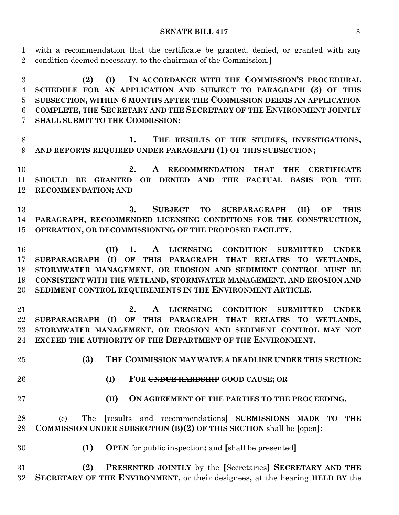with a recommendation that the certificate be granted, denied, or granted with any condition deemed necessary, to the chairman of the Commission.**]**

 **(2) (I) IN ACCORDANCE WITH THE COMMISSION'S PROCEDURAL SCHEDULE FOR AN APPLICATION AND SUBJECT TO PARAGRAPH (3) OF THIS SUBSECTION, WITHIN 6 MONTHS AFTER THE COMMISSION DEEMS AN APPLICATION COMPLETE, THE SECRETARY AND THE SECRETARY OF THE ENVIRONMENT JOINTLY SHALL SUBMIT TO THE COMMISSION:**

 **1. THE RESULTS OF THE STUDIES, INVESTIGATIONS, AND REPORTS REQUIRED UNDER PARAGRAPH (1) OF THIS SUBSECTION;**

 **2. A RECOMMENDATION THAT THE CERTIFICATE SHOULD BE GRANTED OR DENIED AND THE FACTUAL BASIS FOR THE RECOMMENDATION; AND**

 **3. SUBJECT TO SUBPARAGRAPH (II) OF THIS PARAGRAPH, RECOMMENDED LICENSING CONDITIONS FOR THE CONSTRUCTION, OPERATION, OR DECOMMISSIONING OF THE PROPOSED FACILITY.**

 **(II) 1. A LICENSING CONDITION SUBMITTED UNDER SUBPARAGRAPH (I) OF THIS PARAGRAPH THAT RELATES TO WETLANDS, STORMWATER MANAGEMENT, OR EROSION AND SEDIMENT CONTROL MUST BE CONSISTENT WITH THE WETLAND, STORMWATER MANAGEMENT, AND EROSION AND SEDIMENT CONTROL REQUIREMENTS IN THE ENVIRONMENT ARTICLE.**

 **2. A LICENSING CONDITION SUBMITTED UNDER SUBPARAGRAPH (I) OF THIS PARAGRAPH THAT RELATES TO WETLANDS, STORMWATER MANAGEMENT, OR EROSION AND SEDIMENT CONTROL MAY NOT EXCEED THE AUTHORITY OF THE DEPARTMENT OF THE ENVIRONMENT.**

- **(3) THE COMMISSION MAY WAIVE A DEADLINE UNDER THIS SECTION:**
- 
- **(I) FOR UNDUE HARDSHIP GOOD CAUSE; OR**
- 
- **(II) ON AGREEMENT OF THE PARTIES TO THE PROCEEDING.**

 (c) The **[**results and recommendations**] SUBMISSIONS MADE TO THE COMMISSION UNDER SUBSECTION (B)(2) OF THIS SECTION** shall be **[**open**]:**

**(1) OPEN** for public inspection**;** and **[**shall be presented**]**

 **(2) PRESENTED JOINTLY** by the **[**Secretaries**] SECRETARY AND THE SECRETARY OF THE ENVIRONMENT,** or their designees**,** at the hearing **HELD BY** the